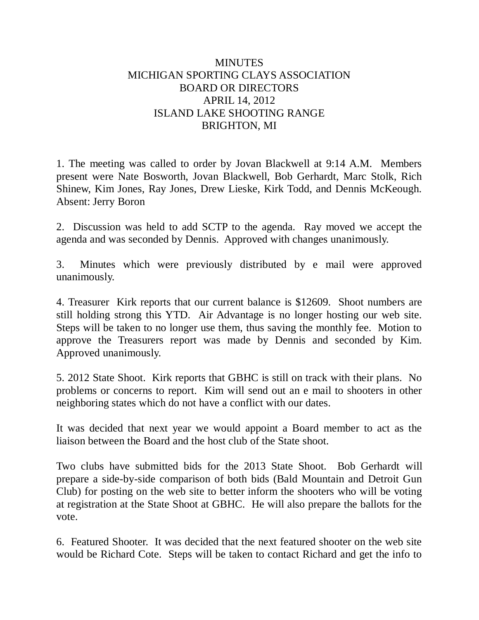## **MINUTES** MICHIGAN SPORTING CLAYS ASSOCIATION BOARD OR DIRECTORS APRIL 14, 2012 ISLAND LAKE SHOOTING RANGE BRIGHTON, MI

1. The meeting was called to order by Jovan Blackwell at 9:14 A.M. Members present were Nate Bosworth, Jovan Blackwell, Bob Gerhardt, Marc Stolk, Rich Shinew, Kim Jones, Ray Jones, Drew Lieske, Kirk Todd, and Dennis McKeough. Absent: Jerry Boron

2. Discussion was held to add SCTP to the agenda. Ray moved we accept the agenda and was seconded by Dennis. Approved with changes unanimously.

3. Minutes which were previously distributed by e mail were approved unanimously.

4. Treasurer Kirk reports that our current balance is \$12609. Shoot numbers are still holding strong this YTD. Air Advantage is no longer hosting our web site. Steps will be taken to no longer use them, thus saving the monthly fee. Motion to approve the Treasurers report was made by Dennis and seconded by Kim. Approved unanimously.

5. 2012 State Shoot. Kirk reports that GBHC is still on track with their plans. No problems or concerns to report. Kim will send out an e mail to shooters in other neighboring states which do not have a conflict with our dates.

It was decided that next year we would appoint a Board member to act as the liaison between the Board and the host club of the State shoot.

Two clubs have submitted bids for the 2013 State Shoot. Bob Gerhardt will prepare a side-by-side comparison of both bids (Bald Mountain and Detroit Gun Club) for posting on the web site to better inform the shooters who will be voting at registration at the State Shoot at GBHC. He will also prepare the ballots for the vote.

6. Featured Shooter. It was decided that the next featured shooter on the web site would be Richard Cote. Steps will be taken to contact Richard and get the info to